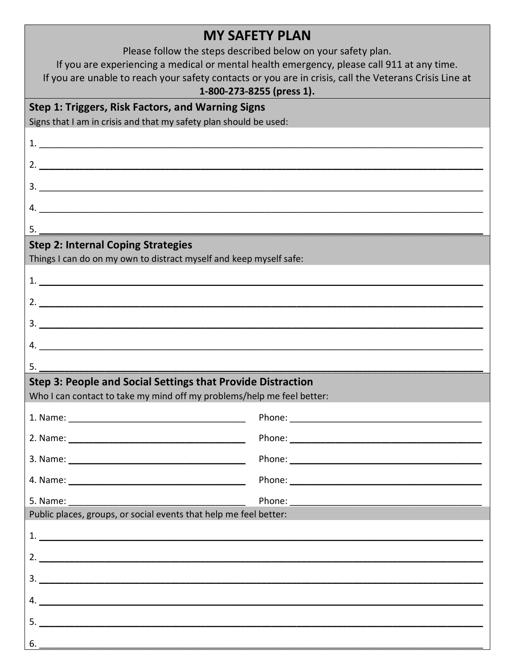| <b>MY SAFETY PLAN</b>                                                                                                                                                                                                                                                                                                  |                                                                                                        |
|------------------------------------------------------------------------------------------------------------------------------------------------------------------------------------------------------------------------------------------------------------------------------------------------------------------------|--------------------------------------------------------------------------------------------------------|
| Please follow the steps described below on your safety plan.                                                                                                                                                                                                                                                           |                                                                                                        |
| If you are experiencing a medical or mental health emergency, please call 911 at any time.                                                                                                                                                                                                                             |                                                                                                        |
|                                                                                                                                                                                                                                                                                                                        | If you are unable to reach your safety contacts or you are in crisis, call the Veterans Crisis Line at |
|                                                                                                                                                                                                                                                                                                                        | 1-800-273-8255 (press 1).                                                                              |
| Step 1: Triggers, Risk Factors, and Warning Signs                                                                                                                                                                                                                                                                      |                                                                                                        |
| Signs that I am in crisis and that my safety plan should be used:                                                                                                                                                                                                                                                      |                                                                                                        |
| 1. $\overline{\phantom{a}}$                                                                                                                                                                                                                                                                                            |                                                                                                        |
| 2. $\frac{1}{2}$ $\frac{1}{2}$ $\frac{1}{2}$ $\frac{1}{2}$ $\frac{1}{2}$ $\frac{1}{2}$ $\frac{1}{2}$ $\frac{1}{2}$ $\frac{1}{2}$ $\frac{1}{2}$ $\frac{1}{2}$ $\frac{1}{2}$ $\frac{1}{2}$ $\frac{1}{2}$ $\frac{1}{2}$ $\frac{1}{2}$ $\frac{1}{2}$ $\frac{1}{2}$ $\frac{1}{2}$ $\frac{1}{2}$ $\frac{1}{2}$ $\frac{1}{2}$ |                                                                                                        |
|                                                                                                                                                                                                                                                                                                                        |                                                                                                        |
| $\frac{1}{2}$                                                                                                                                                                                                                                                                                                          |                                                                                                        |
| 4.                                                                                                                                                                                                                                                                                                                     |                                                                                                        |
|                                                                                                                                                                                                                                                                                                                        |                                                                                                        |
| <b>Step 2: Internal Coping Strategies</b>                                                                                                                                                                                                                                                                              |                                                                                                        |
| Things I can do on my own to distract myself and keep myself safe:                                                                                                                                                                                                                                                     |                                                                                                        |
|                                                                                                                                                                                                                                                                                                                        |                                                                                                        |
|                                                                                                                                                                                                                                                                                                                        |                                                                                                        |
|                                                                                                                                                                                                                                                                                                                        |                                                                                                        |
|                                                                                                                                                                                                                                                                                                                        |                                                                                                        |
|                                                                                                                                                                                                                                                                                                                        |                                                                                                        |
| 5. $\qquad \qquad$                                                                                                                                                                                                                                                                                                     |                                                                                                        |
| Step 3: People and Social Settings that Provide Distraction<br>Who I can contact to take my mind off my problems/help me feel better:                                                                                                                                                                                  |                                                                                                        |
|                                                                                                                                                                                                                                                                                                                        |                                                                                                        |
|                                                                                                                                                                                                                                                                                                                        |                                                                                                        |
|                                                                                                                                                                                                                                                                                                                        |                                                                                                        |
|                                                                                                                                                                                                                                                                                                                        |                                                                                                        |
|                                                                                                                                                                                                                                                                                                                        |                                                                                                        |
| 5. Name: 100 million and 100 million and 100 million and 100 million and 100 million and 100 million and 100 million and 100 million and 100 million and 100 million and 100 million and 100 million and 100 million and 100 m                                                                                         |                                                                                                        |
| Public places, groups, or social events that help me feel better:                                                                                                                                                                                                                                                      |                                                                                                        |
| $1.$ $\overline{\phantom{a}}$                                                                                                                                                                                                                                                                                          |                                                                                                        |
|                                                                                                                                                                                                                                                                                                                        |                                                                                                        |
|                                                                                                                                                                                                                                                                                                                        |                                                                                                        |
| $\mathbf{3.}$ $\blacksquare$                                                                                                                                                                                                                                                                                           |                                                                                                        |
| 4.                                                                                                                                                                                                                                                                                                                     |                                                                                                        |
| $5.$ $\overline{\phantom{a}}$                                                                                                                                                                                                                                                                                          |                                                                                                        |
| 6.                                                                                                                                                                                                                                                                                                                     |                                                                                                        |